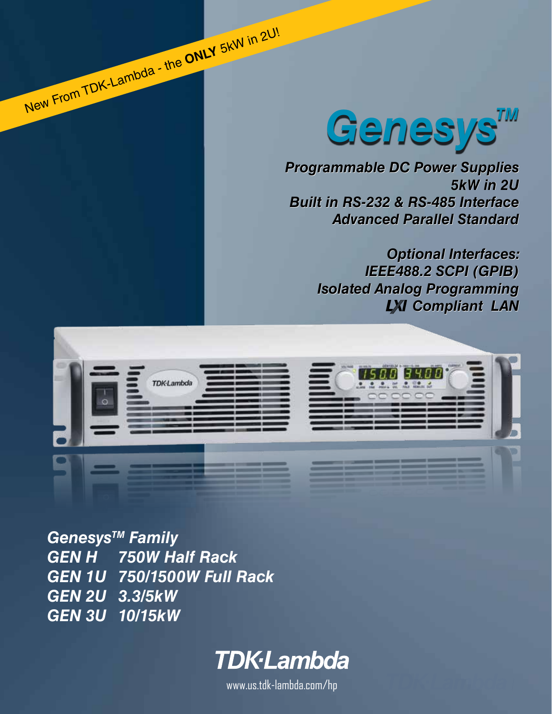

*Programmable DC Power Supplies Programmable DC Power Supplies 5kW in 2U 5kW Built in RS-232 & RS-485 Interface Built in RS-485 InterfaceAdvanced Parallel Standard Advanced Parallel Standard*

*Optional Interfaces: Optional Interfaces: IEEE488.2 SCPI (GPIB) IEEE488.2 SCPI (GPIB) Isolated Analog Programming Isolated Analog Compliant LAN LXI* Compliant LAN



*GenesysTM Family GEN H 750W Half Rack GEN 1U 750/1500W Full Rack GEN 2U 3.3/5kW GEN 3U 10/15kW*

New From TDK-Lambda - the **ONLY** 5kW in 2U!

# **TDK**·Lambda

www.us.tdk-lambda.com/hp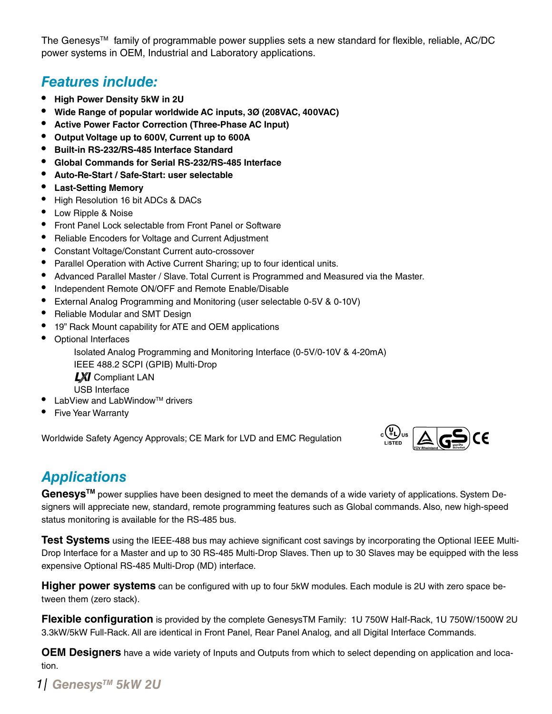The Genesys<sup>TM</sup> family of programmable power supplies sets a new standard for flexible, reliable, AC/DC power systems in OEM, Industrial and Laboratory applications.

### *Features include:*

- **• High Power Density 5kW in 2U**
- **• Wide Range of popular worldwide AC inputs, 3Ø (208VAC, 400VAC)**
- **• Active Power Factor Correction (Three-Phase AC Input)**
- **• Output Voltage up to 600V, Current up to 600A**
- **• Built-in RS-232/RS-485 Interface Standard**
- **• Global Commands for Serial RS-232/RS-485 Interface**
- **• Auto-Re-Start / Safe-Start: user selectable**
- **• Last-Setting Memory**
- High Resolution 16 bit ADCs & DACs
- Low Ripple & Noise
- Front Panel Lock selectable from Front Panel or Software
- Reliable Encoders for Voltage and Current Adjustment
- Constant Voltage/Constant Current auto-crossover
- Parallel Operation with Active Current Sharing; up to four identical units.
- Advanced Parallel Master / Slave. Total Current is Programmed and Measured via the Master.
- Independent Remote ON/OFF and Remote Enable/Disable
- External Analog Programming and Monitoring (user selectable 0-5V & 0-10V)
- Reliable Modular and SMT Design
- 19" Rack Mount capability for ATE and OEM applications
- Optional Interfaces

 Isolated Analog Programming and Monitoring Interface (0-5V/0-10V & 4-20mA) IEEE 488.2 SCPI (GPIB) Multi-Drop

**LXI** Compliant LAN

- USB Interface
- LabView and LabWindow™ drivers
- **Five Year Warranty**

Worldwide Safety Agency Approvals; CE Mark for LVD and EMC Regulation



## *Applications*

**GenesysTM** power supplies have been designed to meet the demands of a wide variety of applications. System Designers will appreciate new, standard, remote programming features such as Global commands. Also, new high-speed status monitoring is available for the RS-485 bus.

**Test Systems** using the IEEE-488 bus may achieve significant cost savings by incorporating the Optional IEEE Multi-Drop Interface for a Master and up to 30 RS-485 Multi-Drop Slaves. Then up to 30 Slaves may be equipped with the less expensive Optional RS-485 Multi-Drop (MD) interface.

**Higher power systems** can be configured with up to four 5kW modules. Each module is 2U with zero space between them (zero stack).

**Flexible configuration** is provided by the complete GenesysTM Family: 1U 750W Half-Rack, 1U 750W/1500W 2U 3.3kW/5kW Full-Rack. All are identical in Front Panel, Rear Panel Analog, and all Digital Interface Commands.

**OEM Designers** have a wide variety of Inputs and Outputs from which to select depending on application and location.

### *GenesysTM 1 5kW 2U*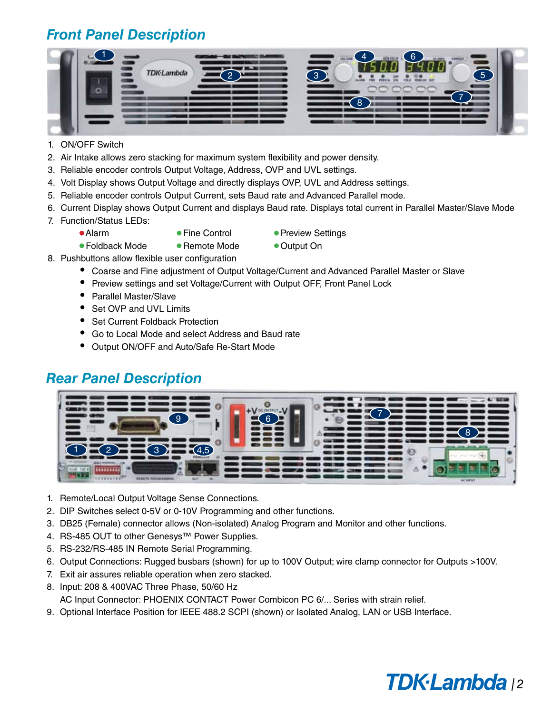## *Front Panel Description*



- 1. ON/OFF Switch
- 2. Air Intake allows zero stacking for maximum system flexibility and power density.
- 3. Reliable encoder controls Output Voltage, Address, OVP and UVL settings.
- 4. Volt Display shows Output Voltage and directly displays OVP, UVL and Address settings.
- 5. Reliable encoder controls Output Current, sets Baud rate and Advanced Parallel mode.
- 6. Current Display shows Output Current and displays Baud rate. Displays total current in Parallel Master/Slave Mode
- 7. Function/Status LEDs:
	-
	-
	- Alarm • • Fine Control • Preview Settings
	- Foldback Mode Remote Mode Output On
- 
- 8. Pushbuttons allow flexible user configuration
	- Coarse and Fine adjustment of Output Voltage/Current and Advanced Parallel Master or Slave
	- Preview settings and set Voltage/Current with Output OFF, Front Panel Lock
	- • Parallel Master/Slave
	- Set OVP and UVL Limits
	- Set Current Foldback Protection
	- • Go to Local Mode and select Address and Baud rate
	- Output ON/OFF and Auto/Safe Re-Start Mode

### *Rear Panel Description*



- 1. Remote/Local Output Voltage Sense Connections.
- 2. DIP Switches select 0-5V or 0-10V Programming and other functions.
- 3. DB25 (Female) connector allows (Non-isolated) Analog Program and Monitor and other functions.
- 4. RS-485 OUT to other Genesys™ Power Supplies.
- 5. RS-232/RS-485 IN Remote Serial Programming.
- 6. Output Connections: Rugged busbars (shown) for up to 100V Output; wire clamp connector for Outputs >100V.
- 7. Exit air assures reliable operation when zero stacked.
- 8. Input: 208 & 400VAC Three Phase, 50/60 Hz AC Input Connector: PHOENIX CONTACT Power Combicon PC 6/... Series with strain relief.
- 9. Optional Interface Position for IEEE 488.2 SCPI (shown) or Isolated Analog, LAN or USB Interface.

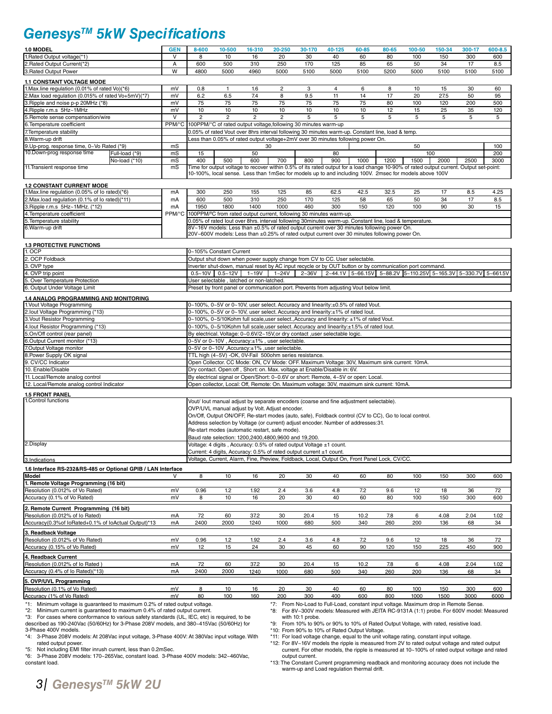### *GenesysTM 5kW Specifications*

| 1.0 MODEL                                                                                                                                               | <b>GEN</b>                                                                             | 8-600                                                                                                                                                                                | 10-500                                                                                                                                                                   | 16-310         | 20-250                  | 30-170 | 40-125                                                                                                                                                                               | 60-85 | 80-65 | 100-50 | 150-34 | 300-17 | 600-8.5 |
|---------------------------------------------------------------------------------------------------------------------------------------------------------|----------------------------------------------------------------------------------------|--------------------------------------------------------------------------------------------------------------------------------------------------------------------------------------|--------------------------------------------------------------------------------------------------------------------------------------------------------------------------|----------------|-------------------------|--------|--------------------------------------------------------------------------------------------------------------------------------------------------------------------------------------|-------|-------|--------|--------|--------|---------|
| 1. Rated Output voltage(*1)                                                                                                                             | v                                                                                      | 8                                                                                                                                                                                    | 10                                                                                                                                                                       | 16             | 20                      | 30     | 40                                                                                                                                                                                   | 60    | 80    | 100    | 150    | 300    | 600     |
| 2. Rated Output Current(*2)<br>3. Rated Output Power                                                                                                    | А                                                                                      | 600                                                                                                                                                                                  | 500                                                                                                                                                                      | 310            | 250                     | 170    | 125                                                                                                                                                                                  | 85    | 65    | 50     | 34     | 17     | 8.5     |
|                                                                                                                                                         | W                                                                                      | 4800                                                                                                                                                                                 | 5000                                                                                                                                                                     | 4960           | 5000                    | 5100   | 5000                                                                                                                                                                                 | 5100  | 5200  | 5000   | 5100   | 5100   | 5100    |
| <b>1.1 CONSTANT VOLTAGE MODE</b><br>1. Max.line regulation (0.01% of rated Vo)(*6)                                                                      | mV                                                                                     | 0.8                                                                                                                                                                                  | $\mathbf{1}$                                                                                                                                                             | 1.6            | $\overline{\mathbf{c}}$ | 3      | 4                                                                                                                                                                                    | 6     | 8     | 10     | 15     | 30     | 60      |
| 2. Max load regulation (0.015% of rated Vo+5mV)(*7)                                                                                                     | mV                                                                                     | 6.2                                                                                                                                                                                  | 6.5                                                                                                                                                                      | 7.4            | 8                       | 9.5    | 11                                                                                                                                                                                   | 14    | 17    | 20     | 27.5   | 50     | 95      |
| 3. Ripple and noise p-p 20MHz (*8)                                                                                                                      | mV                                                                                     | 75                                                                                                                                                                                   | 75                                                                                                                                                                       | 75             | 75                      | 75     | 75                                                                                                                                                                                   | 75    | 80    | 100    | 120    | 200    | 500     |
| 4. Ripple r.m.s 5Hz~1MHz                                                                                                                                | mV                                                                                     | $10$                                                                                                                                                                                 | 10                                                                                                                                                                       | 10             | 10                      | 10     | 10                                                                                                                                                                                   | 10    | 12    | 15     | 25     | 35     | 120     |
| 5. Remote sense compensation/wire                                                                                                                       | $\vee$<br>PPM/°C                                                                       | $\overline{2}$                                                                                                                                                                       | $\overline{2}$<br>100PPM/°C of rated output voltage, following 30 minutes warm-up                                                                                        | $\overline{2}$ | $\overline{c}$          | 5      | 5                                                                                                                                                                                    | 5     | 5     | 5      | 5      | 5      | 5       |
| 6. Temperature coefficient<br>7. Temperature stability                                                                                                  |                                                                                        |                                                                                                                                                                                      |                                                                                                                                                                          |                |                         |        | 0.05% of rated Vout over 8hrs interval following 30 minutes warm-up. Constant line, load & temp.                                                                                     |       |       |        |        |        |         |
| 8. Warm-up drift                                                                                                                                        |                                                                                        |                                                                                                                                                                                      |                                                                                                                                                                          |                |                         |        | Less than 0.05% of rated output voltage+2mV over 30 minutes following power On.                                                                                                      |       |       |        |        |        |         |
| 9. Up-prog. response time, 0~Vo Rated (*9)                                                                                                              | mS                                                                                     |                                                                                                                                                                                      |                                                                                                                                                                          | 30             |                         |        |                                                                                                                                                                                      |       |       | 50     |        |        | 100     |
| 10.Down-prog response time<br>Full-load (*9)                                                                                                            | mS                                                                                     | 15<br>400                                                                                                                                                                            |                                                                                                                                                                          | 50<br>600      |                         |        | 80<br>900                                                                                                                                                                            |       |       | 100    |        |        | 200     |
| No-load (*10)<br>11. Transient response time                                                                                                            | mS<br>mS                                                                               |                                                                                                                                                                                      | 500                                                                                                                                                                      |                | 700                     | 800    | Time for output voltage to recover within 0.5% of its rated output for a load change 10-90% of rated output current. Output set-point:                                               | 1000  | 1200  | 1500   | 2000   | 2500   | 3000    |
|                                                                                                                                                         |                                                                                        |                                                                                                                                                                                      |                                                                                                                                                                          |                |                         |        | 10-100%, local sense. Less than 1mSec for models up to and including 100V. 2msec for models above 100V                                                                               |       |       |        |        |        |         |
| <b>1.2 CONSTANT CURRENT MODE</b>                                                                                                                        |                                                                                        |                                                                                                                                                                                      |                                                                                                                                                                          |                |                         |        |                                                                                                                                                                                      |       |       |        |        |        |         |
| 1. Max.line regulation (0.05% of lo rated)(*6)                                                                                                          | mA                                                                                     | 300                                                                                                                                                                                  | 250                                                                                                                                                                      | 155            | 125                     | 85     | 62.5                                                                                                                                                                                 | 42.5  | 32.5  | 25     | 17     | 8.5    | 4.25    |
| 2. Max.load regulation (0.1% of lo rated)(*11)                                                                                                          | mA                                                                                     | 600                                                                                                                                                                                  | 500                                                                                                                                                                      | 310            | 250                     | 170    | 125                                                                                                                                                                                  | 58    | 65    | 50     | 34     | 17     | 8.5     |
| 3. Ripple r.m.s 5Hz~1MHz. (*12)                                                                                                                         | mA                                                                                     | 1950                                                                                                                                                                                 | 1800                                                                                                                                                                     | 1400           | 1000                    | 460    | 300                                                                                                                                                                                  | 150   | 120   | 100    | 90     | 30     | 15      |
| 4. Temperature coefficient<br>5. Temperature stability                                                                                                  |                                                                                        |                                                                                                                                                                                      |                                                                                                                                                                          |                |                         |        | PPM/°C 100PPM/°C from rated output current, following 30 minutes warm-up.<br>0.05% of rated lout over 8hrs. interval following 30minutes warm-up. Constant line, load & temperature. |       |       |        |        |        |         |
| 6. Warm-up drift                                                                                                                                        |                                                                                        |                                                                                                                                                                                      |                                                                                                                                                                          |                |                         |        | 8V~16V models: Less than ±0.5% of rated output current over 30 minutes following power On.                                                                                           |       |       |        |        |        |         |
|                                                                                                                                                         |                                                                                        |                                                                                                                                                                                      |                                                                                                                                                                          |                |                         |        | 20V~600V models: Less than ±0.25% of rated output current over 30 minutes following power On.                                                                                        |       |       |        |        |        |         |
| <b>1.3 PROTECTIVE FUNCTIONS</b>                                                                                                                         |                                                                                        |                                                                                                                                                                                      |                                                                                                                                                                          |                |                         |        |                                                                                                                                                                                      |       |       |        |        |        |         |
| 1. OCP                                                                                                                                                  |                                                                                        |                                                                                                                                                                                      | 0~105% Constant Current                                                                                                                                                  |                |                         |        |                                                                                                                                                                                      |       |       |        |        |        |         |
| 2. OCP Foldback<br>3. OVP type                                                                                                                          |                                                                                        | Output shut down when power supply change from CV to CC. User selectable.<br>Inverter shut-down, manual reset by AC input recycle or by OUT button or by communication port command. |                                                                                                                                                                          |                |                         |        |                                                                                                                                                                                      |       |       |        |        |        |         |
| 4. OVP trip point                                                                                                                                       |                                                                                        |                                                                                                                                                                                      | $0.5 - 10V$ 0.5 ~ 12V                                                                                                                                                    | $1 - 19V$      | 1~24V                   |        | 2~36V 2~44.1V 5~66.15V 5~88.2V 5~110.25V 5~165.3V 5~330.7V 5~661.5V                                                                                                                  |       |       |        |        |        |         |
| 5. Over Temperature Protection                                                                                                                          |                                                                                        |                                                                                                                                                                                      | User selectable, latched or non-latched.                                                                                                                                 |                |                         |        |                                                                                                                                                                                      |       |       |        |        |        |         |
| 6. Output Under Voltage Limit                                                                                                                           | Preset by front panel or communication port. Prevents from adjusting Vout below limit. |                                                                                                                                                                                      |                                                                                                                                                                          |                |                         |        |                                                                                                                                                                                      |       |       |        |        |        |         |
| 1.4 ANALOG PROGRAMMING AND MONITORING                                                                                                                   |                                                                                        |                                                                                                                                                                                      |                                                                                                                                                                          |                |                         |        |                                                                                                                                                                                      |       |       |        |        |        |         |
| 1. Vout Voltage Programming                                                                                                                             |                                                                                        | 0~100%, 0~5V or 0~10V, user select. Accuracy and linearity:±0.5% of rated Vout.<br>0~100%, 0~5V or 0~10V, user select. Accuracy and linearity:±1% of rated lout.                     |                                                                                                                                                                          |                |                         |        |                                                                                                                                                                                      |       |       |        |        |        |         |
| 2.lout Voltage Programming (*13)<br>3. Vout Resistor Programming                                                                                        |                                                                                        |                                                                                                                                                                                      |                                                                                                                                                                          |                |                         |        | 0~100%, 0~5/10Kohm full scale, user select., Accuracy and linearity: ±1% of rated Vout.                                                                                              |       |       |        |        |        |         |
| 4. lout Resistor Programming (*13)                                                                                                                      |                                                                                        |                                                                                                                                                                                      |                                                                                                                                                                          |                |                         |        | 0~100%, 0~5/10Kohm full scale, user select. Accuracy and linearity: ±1.5% of rated lout.                                                                                             |       |       |        |        |        |         |
| 5.On/Off control (rear panel)                                                                                                                           |                                                                                        |                                                                                                                                                                                      |                                                                                                                                                                          |                |                         |        | By electrical. Voltage: 0~0.6V/2~15V,or dry contact , user selectable logic.                                                                                                         |       |       |        |        |        |         |
| 6.Output Current monitor (*13)                                                                                                                          |                                                                                        |                                                                                                                                                                                      | 0~5V or 0~10V, Accuracy:±1%, user selectable.                                                                                                                            |                |                         |        |                                                                                                                                                                                      |       |       |        |        |        |         |
| 7.Output Voltage monitor                                                                                                                                |                                                                                        |                                                                                                                                                                                      | 0~5V or 0~10V, Accuracy:±1%, user selectable.<br>TTL high (4~5V) -OK, 0V-Fail 500ohm series resistance.                                                                  |                |                         |        |                                                                                                                                                                                      |       |       |        |        |        |         |
| 8. Power Supply OK signal<br>9. CV/CC Indicator                                                                                                         |                                                                                        |                                                                                                                                                                                      |                                                                                                                                                                          |                |                         |        |                                                                                                                                                                                      |       |       |        |        |        |         |
| 10. Enable/Disable                                                                                                                                      |                                                                                        |                                                                                                                                                                                      | Open Collector. CC Mode: ON, CV Mode: OFF. Maximum Voltage: 30V, Maximum sink current: 10mA.<br>Dry contact. Open:off, Short: on. Max. voltage at Enable/Disable in: 6V. |                |                         |        |                                                                                                                                                                                      |       |       |        |        |        |         |
| 11. Local/Remote analog control                                                                                                                         |                                                                                        |                                                                                                                                                                                      | By electrical signal or Open/Short: 0~0.6V or short: Remote, 4~5V or open: Local.                                                                                        |                |                         |        |                                                                                                                                                                                      |       |       |        |        |        |         |
| 12. Local/Remote analog control Indicator<br>Open collector, Local: Off, Remote: On. Maximum voltage: 30V, maximum sink current: 10mA.                  |                                                                                        |                                                                                                                                                                                      |                                                                                                                                                                          |                |                         |        |                                                                                                                                                                                      |       |       |        |        |        |         |
| <b>1.5 FRONT PANEL</b>                                                                                                                                  |                                                                                        |                                                                                                                                                                                      |                                                                                                                                                                          |                |                         |        |                                                                                                                                                                                      |       |       |        |        |        |         |
| 1. Control functions                                                                                                                                    |                                                                                        |                                                                                                                                                                                      |                                                                                                                                                                          |                |                         |        | Vout/ lout manual adjust by separate encoders (coarse and fine adjustment selectable).                                                                                               |       |       |        |        |        |         |
|                                                                                                                                                         |                                                                                        |                                                                                                                                                                                      | OVP/UVL manual adjust by Volt. Adjust encoder.                                                                                                                           |                |                         |        | On/Off, Output ON/OFF, Re-start modes (auto, safe), Foldback control (CV to CC), Go to local control.                                                                                |       |       |        |        |        |         |
|                                                                                                                                                         |                                                                                        |                                                                                                                                                                                      |                                                                                                                                                                          |                |                         |        | Address selection by Voltage (or current) adjust encoder. Number of addresses:31.                                                                                                    |       |       |        |        |        |         |
|                                                                                                                                                         |                                                                                        |                                                                                                                                                                                      | Re-start modes (automatic restart, safe mode).                                                                                                                           |                |                         |        |                                                                                                                                                                                      |       |       |        |        |        |         |
|                                                                                                                                                         |                                                                                        | Baud rate selection: 1200,2400,4800,9600 and 19,200.                                                                                                                                 |                                                                                                                                                                          |                |                         |        |                                                                                                                                                                                      |       |       |        |        |        |         |
| 2.Display                                                                                                                                               |                                                                                        |                                                                                                                                                                                      | Voltage: 4 digits, Accuracy: 0.5% of rated output Voltage ±1 count.<br>Current: 4 digits, Accuracy: 0.5% of rated output current ±1 count.                               |                |                         |        |                                                                                                                                                                                      |       |       |        |        |        |         |
| 3.Indications                                                                                                                                           |                                                                                        |                                                                                                                                                                                      |                                                                                                                                                                          |                |                         |        | Voltage, Current, Alarm, Fine, Preview, Foldback, Local, Output On, Front Panel Lock, CV/CC.                                                                                         |       |       |        |        |        |         |
| 1.6 Interface RS-232&RS-485 or Optional GPIB / LAN Interface                                                                                            |                                                                                        |                                                                                                                                                                                      |                                                                                                                                                                          |                |                         |        |                                                                                                                                                                                      |       |       |        |        |        |         |
| Model                                                                                                                                                   |                                                                                        | 8                                                                                                                                                                                    | 10                                                                                                                                                                       | 16             | 20                      | 30     | 40                                                                                                                                                                                   | 60    | 80    | 100    | 150    | 300    | 600     |
| 1. Remote Voltage Programming (16 bit)                                                                                                                  |                                                                                        |                                                                                                                                                                                      |                                                                                                                                                                          |                |                         |        |                                                                                                                                                                                      |       |       |        |        |        |         |
| Resolution (0.012% of Vo Rated)                                                                                                                         | mV                                                                                     | 0.96                                                                                                                                                                                 | 1.2                                                                                                                                                                      | 1.92           | 2.4                     | 3.6    | 4.8                                                                                                                                                                                  | 7.2   | 9.6   | 12     | 18     | 36     | 72      |
| Accuracy (0.1% of Vo Rated)                                                                                                                             | mV                                                                                     | 8                                                                                                                                                                                    | 10                                                                                                                                                                       | 16             | 20                      | 30     | 40                                                                                                                                                                                   | 60    | 80    | 100    | 150    | 300    | 600     |
| 2. Remote Current Programming (16 bit)                                                                                                                  |                                                                                        |                                                                                                                                                                                      |                                                                                                                                                                          |                |                         |        |                                                                                                                                                                                      |       |       |        |        |        |         |
| Resolution (0.012% of lo Rated)                                                                                                                         | mA                                                                                     | 72                                                                                                                                                                                   | 60                                                                                                                                                                       | 37.2           | 30                      | 20.4   | 15                                                                                                                                                                                   | 10.2  | 7.8   | 6      | 4.08   | 2.04   | 1.02    |
| Accuracy(0.3%of loRated+0.1% of loActual Output)*13                                                                                                     | mA                                                                                     | 2400                                                                                                                                                                                 | 2000                                                                                                                                                                     | 1240           | 1000                    | 680    | 500                                                                                                                                                                                  | 340   | 260   | 200    | 136    | 68     | 34      |
| 3. Readback Voltage<br>Resolution (0.012% of Vo Rated)                                                                                                  | mV                                                                                     | 0.96                                                                                                                                                                                 | 1.2                                                                                                                                                                      | 1.92           | 2.4                     | 3.6    | 4.8                                                                                                                                                                                  | 7.2   | 9.6   | 12     | 18     | 36     | 72      |
| Accuracy (0.15% of Vo Rated)                                                                                                                            | mV                                                                                     | 12                                                                                                                                                                                   | 15                                                                                                                                                                       | 24             | 30                      | 45     | 60                                                                                                                                                                                   | 90    | 120   | 150    | 225    | 450    | 900     |
| 4. Readback Current                                                                                                                                     |                                                                                        |                                                                                                                                                                                      |                                                                                                                                                                          |                |                         |        |                                                                                                                                                                                      |       |       |        |        |        |         |
| Resolution (0.012% of lo Rated)                                                                                                                         | mA                                                                                     | 72                                                                                                                                                                                   | 60                                                                                                                                                                       | 37.2           | 30                      | 20.4   | 15                                                                                                                                                                                   | 10.2  | 7.8   | 6      | 4.08   | 2.04   | 1.02    |
| Accuracy (0.4% of lo Rated)(*13)                                                                                                                        | mA                                                                                     | 2400                                                                                                                                                                                 | 2000                                                                                                                                                                     | 1240           | 1000                    | 680    | 500                                                                                                                                                                                  | 340   | 260   | 200    | 136    | 68     | 34      |
| 5. OVP/UVL Programming                                                                                                                                  |                                                                                        |                                                                                                                                                                                      |                                                                                                                                                                          |                |                         |        |                                                                                                                                                                                      |       |       |        |        |        |         |
| Resolution (0.1% of Vo Rated)                                                                                                                           | mV                                                                                     | 8                                                                                                                                                                                    | 10                                                                                                                                                                       | 16             | 20                      | 30     | 40                                                                                                                                                                                   | 60    | 80    | 100    | 150    | 300    | 600     |
| Accuracy (1% of Vo Rated)                                                                                                                               | mV                                                                                     | 80                                                                                                                                                                                   | 100                                                                                                                                                                      | 160            | 200                     | 300    | 400                                                                                                                                                                                  | 600   | 800   | 1000   | 1500   | 3000   | 6000    |
| *1: Minimum voltage is guaranteed to maximum 0.2% of rated output voltage.<br>*2. Minimum current is quaranteed to maximum 0.4% of rated output current |                                                                                        |                                                                                                                                                                                      |                                                                                                                                                                          |                |                         |        | *7: From No-Load to Full-Load, constant input voltage. Maximum drop in Remote Sense.<br>*8: For 8V-300V models: Measured with IFITA RC-0131A (1:1) probe For 600V model: Measured    |       |       |        |        |        |         |

\*2: Minimum current is guaranteed to maximum 0.4% of rated output current. \*3: For cases where conformance to various safety standards (UL, IEC, etc) is required, to be

described as 190-240Vac (50/60Hz) for 3-Phase 208V models, and 380~415Vac (50/60Hz) for

3-Phase 400V models. \*4: 3-Phase 208V models: At 208Vac input voltage, 3-Phase 400V: At 380Vac input voltage. With rated output power.

\*5: Not including EMI filter inrush current, less than 0.2mSec. \*6: 3-Phase 208V models: 170~265Vac, constant load. 3-Phase 400V models: 342~460Vac, constant load.

\*8: For 8V~300V models: Measured with JEITA RC-9131A (1:1) probe. For 600V mo with 10:1 probe.

\*9: From 10% to 90% or 90% to 10% of Rated Output Voltage, with rated, resistive load.

\*10: From 90% to 10% of Rated Output Voltage.

\*11: For load voltage change, equal to the unit voltage rating, constant input voltage. \*12: For 8V~16V models the ripple is measured from 2V to rated output voltage and rated output current. For other models, the ripple is measured at 10~100% of rated output voltage and rated output current.

\*13: The Constant Current programming readback and monitoring accuracy does not include the warm-up and Load regulation thermal drift.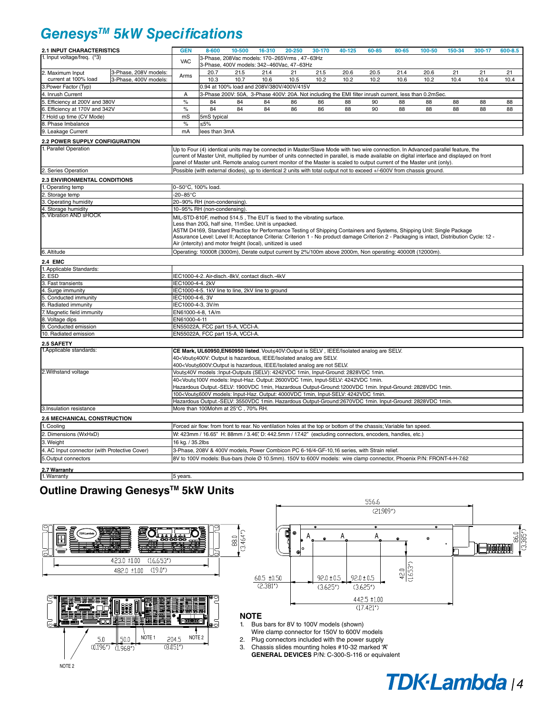### *GenesysTM 5kW Specifications*

| 2.1 INPUT CHARACTERISTICS                                 |                       | <b>GEN</b>                                                                                                                                  | 8-600                       | 10-500                                                                                                                                                                                                              | 16-310 | 20-250 | 30-170                                                                                                                                                                              | 40-125                                                                                                                                                                             | 60-85 | 80-65 | 100-50 | 150-34 | 300-17 | 600-8.5 |
|-----------------------------------------------------------|-----------------------|---------------------------------------------------------------------------------------------------------------------------------------------|-----------------------------|---------------------------------------------------------------------------------------------------------------------------------------------------------------------------------------------------------------------|--------|--------|-------------------------------------------------------------------------------------------------------------------------------------------------------------------------------------|------------------------------------------------------------------------------------------------------------------------------------------------------------------------------------|-------|-------|--------|--------|--------|---------|
| 1. Input voltage/freg. (*3)                               |                       | <b>VAC</b>                                                                                                                                  |                             | 3-Phase, 208Vac models: 170~265Vrms, 47~63Hz<br>3-Phase, 400V models: 342~460Vac, 47~63Hz                                                                                                                           |        |        |                                                                                                                                                                                     |                                                                                                                                                                                    |       |       |        |        |        |         |
| 2. Maximum Input                                          | 3-Phase, 208V models: | Arms                                                                                                                                        | 20.7                        | 21.5                                                                                                                                                                                                                | 21.4   | 21     | 21.5                                                                                                                                                                                | 20.6                                                                                                                                                                               | 20.5  | 21.4  | 20.6   | 21     | 21     | 21      |
| current at 100% load                                      | 3-Phase, 400V models: |                                                                                                                                             | 10.3                        | 10.7                                                                                                                                                                                                                | 10.6   | 10.5   | 10.2                                                                                                                                                                                | 10.2                                                                                                                                                                               | 10.2  | 10.6  | 10.2   | 10.4   | 10.4   | 10.4    |
| 3. Power Factor (Typ)                                     |                       |                                                                                                                                             |                             | 0.94 at 100% load and 208V/380V/400V/415V                                                                                                                                                                           |        |        |                                                                                                                                                                                     |                                                                                                                                                                                    |       |       |        |        |        |         |
| 4. Inrush Current                                         |                       | А                                                                                                                                           |                             |                                                                                                                                                                                                                     |        |        |                                                                                                                                                                                     | 3-Phase 200V: 50A, 3-Phase 400V: 20A. Not including the EMI filter inrush current, less than 0.2mSec.                                                                              |       |       |        |        |        |         |
| 5. Efficiency at 200V and 380V                            |                       | $\%$                                                                                                                                        | 84                          | 84                                                                                                                                                                                                                  | 84     | 86     | 86                                                                                                                                                                                  | 88                                                                                                                                                                                 | 90    | 88    | 88     | 88     | 88     | 88      |
| 6. Efficiency at 170V and 342V                            |                       | $\%$                                                                                                                                        | 84                          | 84                                                                                                                                                                                                                  | 84     | 86     | 86                                                                                                                                                                                  | 88                                                                                                                                                                                 | 90    | 88    | 88     | 88     | 88     | 88      |
| 7. Hold up time (CV Mode)                                 |                       | mS                                                                                                                                          | 5mS typical                 |                                                                                                                                                                                                                     |        |        |                                                                                                                                                                                     |                                                                                                                                                                                    |       |       |        |        |        |         |
| 8. Phase Imbalance                                        |                       | $\%$                                                                                                                                        | ≤5%                         |                                                                                                                                                                                                                     |        |        |                                                                                                                                                                                     |                                                                                                                                                                                    |       |       |        |        |        |         |
| 9. Leakage Current                                        | mA                    | lees than 3mA                                                                                                                               |                             |                                                                                                                                                                                                                     |        |        |                                                                                                                                                                                     |                                                                                                                                                                                    |       |       |        |        |        |         |
| 2.2 POWER SUPPLY CONFIGURATION                            |                       |                                                                                                                                             |                             |                                                                                                                                                                                                                     |        |        |                                                                                                                                                                                     |                                                                                                                                                                                    |       |       |        |        |        |         |
| 1. Parallel Operation                                     |                       | Up to Four (4) identical units may be connected in Master/Slave Mode with two wire connection. In Advanced parallel feature, the            |                             |                                                                                                                                                                                                                     |        |        |                                                                                                                                                                                     |                                                                                                                                                                                    |       |       |        |        |        |         |
|                                                           |                       |                                                                                                                                             |                             |                                                                                                                                                                                                                     |        |        |                                                                                                                                                                                     | current of Master Unit, multiplied by number of units connected in parallel, is made available on digital interface and displayed on front                                         |       |       |        |        |        |         |
|                                                           |                       | panel of Master unit. Remote analog current monitor of the Master is scaled to output current of the Master unit (only).                    |                             |                                                                                                                                                                                                                     |        |        |                                                                                                                                                                                     |                                                                                                                                                                                    |       |       |        |        |        |         |
| 2. Series Operation                                       |                       | Possible (with external diodes), up to identical 2 units with total output not to exceed +/-600V from chassis ground.                       |                             |                                                                                                                                                                                                                     |        |        |                                                                                                                                                                                     |                                                                                                                                                                                    |       |       |        |        |        |         |
| <b>2.3 ENVIRONMENTAL CONDITIONS</b>                       |                       |                                                                                                                                             |                             |                                                                                                                                                                                                                     |        |        |                                                                                                                                                                                     |                                                                                                                                                                                    |       |       |        |        |        |         |
| 1. Operating temp                                         |                       | 0~50°C, 100% load.                                                                                                                          |                             |                                                                                                                                                                                                                     |        |        |                                                                                                                                                                                     |                                                                                                                                                                                    |       |       |        |        |        |         |
| Storage temp                                              |                       | $-20-85$ °C                                                                                                                                 |                             |                                                                                                                                                                                                                     |        |        |                                                                                                                                                                                     |                                                                                                                                                                                    |       |       |        |        |        |         |
| 3. Operating humidity                                     |                       |                                                                                                                                             | 20~90% RH (non-condensing)  |                                                                                                                                                                                                                     |        |        |                                                                                                                                                                                     |                                                                                                                                                                                    |       |       |        |        |        |         |
| 4. Storage humidity                                       |                       |                                                                                                                                             | 10~95% RH (non-condensing). |                                                                                                                                                                                                                     |        |        |                                                                                                                                                                                     |                                                                                                                                                                                    |       |       |        |        |        |         |
| 5. Vibration AND sHOCK                                    |                       |                                                                                                                                             |                             |                                                                                                                                                                                                                     |        |        |                                                                                                                                                                                     |                                                                                                                                                                                    |       |       |        |        |        |         |
|                                                           |                       | MIL-STD-810F, method 514.5, The EUT is fixed to the vibrating surface.<br>Less than 20G, half sine, 11mSec. Unit is unpacked.               |                             |                                                                                                                                                                                                                     |        |        |                                                                                                                                                                                     |                                                                                                                                                                                    |       |       |        |        |        |         |
|                                                           |                       | ASTM D4169, Standard Practice for Performance Testing of Shipping Containers and Systems, Shipping Unit: Single Package                     |                             |                                                                                                                                                                                                                     |        |        |                                                                                                                                                                                     |                                                                                                                                                                                    |       |       |        |        |        |         |
|                                                           |                       | Assurance Level: Level II; Acceptance Criteria: Criterion 1 - No product damage Criterion 2 - Packaging is intact, Distribution Cycle: 12 - |                             |                                                                                                                                                                                                                     |        |        |                                                                                                                                                                                     |                                                                                                                                                                                    |       |       |        |        |        |         |
|                                                           |                       |                                                                                                                                             |                             | Air (intercity) and motor freight (local), unitized is used                                                                                                                                                         |        |        |                                                                                                                                                                                     |                                                                                                                                                                                    |       |       |        |        |        |         |
| 6. Altitude                                               |                       |                                                                                                                                             |                             |                                                                                                                                                                                                                     |        |        |                                                                                                                                                                                     | Operating: 10000ft (3000m), Derate output current by 2%/100m above 2000m, Non operating: 40000ft (12000m).                                                                         |       |       |        |        |        |         |
| <b>2.4 EMC</b>                                            |                       |                                                                                                                                             |                             |                                                                                                                                                                                                                     |        |        |                                                                                                                                                                                     |                                                                                                                                                                                    |       |       |        |        |        |         |
| 1. Applicable Standards:                                  |                       |                                                                                                                                             |                             |                                                                                                                                                                                                                     |        |        |                                                                                                                                                                                     |                                                                                                                                                                                    |       |       |        |        |        |         |
| 2. ESD                                                    |                       |                                                                                                                                             |                             | IEC1000-4-2. Air-disch.-8kV, contact disch.-4kV                                                                                                                                                                     |        |        |                                                                                                                                                                                     |                                                                                                                                                                                    |       |       |        |        |        |         |
| 3. Fast transients                                        |                       | IEC1000-4-4.2kV                                                                                                                             |                             |                                                                                                                                                                                                                     |        |        |                                                                                                                                                                                     |                                                                                                                                                                                    |       |       |        |        |        |         |
| 4. Surge immunity                                         |                       |                                                                                                                                             |                             | IEC1000-4-5. 1kV line to line, 2kV line to ground                                                                                                                                                                   |        |        |                                                                                                                                                                                     |                                                                                                                                                                                    |       |       |        |        |        |         |
| 5. Conducted immunity                                     |                       | IEC1000-4-6, 3V                                                                                                                             |                             |                                                                                                                                                                                                                     |        |        |                                                                                                                                                                                     |                                                                                                                                                                                    |       |       |        |        |        |         |
| 6. Radiated immunity                                      |                       | IEC1000-4-3, 3V/m                                                                                                                           |                             |                                                                                                                                                                                                                     |        |        |                                                                                                                                                                                     |                                                                                                                                                                                    |       |       |        |        |        |         |
| 7. Magnetic field immunity                                |                       | EN61000-4-8, 1A/m                                                                                                                           |                             |                                                                                                                                                                                                                     |        |        |                                                                                                                                                                                     |                                                                                                                                                                                    |       |       |        |        |        |         |
| 8. Voltage dips                                           |                       | EN61000-4-11                                                                                                                                |                             |                                                                                                                                                                                                                     |        |        |                                                                                                                                                                                     |                                                                                                                                                                                    |       |       |        |        |        |         |
| 9. Conducted emission<br>EN55022A, FCC part 15-A, VCCI-A. |                       |                                                                                                                                             |                             |                                                                                                                                                                                                                     |        |        |                                                                                                                                                                                     |                                                                                                                                                                                    |       |       |        |        |        |         |
| 10. Radiated emission                                     |                       | EN55022A, FCC part 15-A, VCCI-A.                                                                                                            |                             |                                                                                                                                                                                                                     |        |        |                                                                                                                                                                                     |                                                                                                                                                                                    |       |       |        |        |        |         |
| 2.5 SAFETY                                                |                       |                                                                                                                                             |                             |                                                                                                                                                                                                                     |        |        |                                                                                                                                                                                     |                                                                                                                                                                                    |       |       |        |        |        |         |
| 1. Applicable standards:                                  |                       |                                                                                                                                             |                             |                                                                                                                                                                                                                     |        |        |                                                                                                                                                                                     | CE Mark, UL60950, EN60950 listed. Vout<40V: Output is SELV, IEEE/Isolated analog are SELV.                                                                                         |       |       |        |        |        |         |
|                                                           |                       |                                                                                                                                             |                             | 40 <vout≤400v: analog="" are="" hazardous,="" ieee="" is="" isolated="" output="" selv.<="" td=""><td></td><td></td><td></td><td></td><td></td><td></td><td></td><td></td><td></td><td></td></vout≤400v:>           |        |        |                                                                                                                                                                                     |                                                                                                                                                                                    |       |       |        |        |        |         |
|                                                           |                       |                                                                                                                                             |                             | 400 <vout≤600v:output analog="" are="" hazardous,="" ieee="" is="" isolated="" not="" selv.<="" td=""><td></td><td></td><td></td><td></td><td></td><td></td><td></td><td></td><td></td><td></td></vout≤600v:output> |        |        |                                                                                                                                                                                     |                                                                                                                                                                                    |       |       |        |        |        |         |
| 2. Withstand voltage                                      |                       |                                                                                                                                             |                             |                                                                                                                                                                                                                     |        |        |                                                                                                                                                                                     | Vout≤40V models :Input-Outputs (SELV): 4242VDC 1min, Input-Ground: 2828VDC 1min.                                                                                                   |       |       |        |        |        |         |
|                                                           |                       |                                                                                                                                             |                             |                                                                                                                                                                                                                     |        |        |                                                                                                                                                                                     | 40 <vout≤100v 1min,="" 1min.<="" 2600vdc="" 4242vdc="" input-haz.="" input-selv:="" models:="" output:="" td=""><td></td><td></td><td></td><td></td><td></td><td></td></vout≤100v> |       |       |        |        |        |         |
|                                                           |                       |                                                                                                                                             |                             |                                                                                                                                                                                                                     |        |        |                                                                                                                                                                                     | Hazardous Output.-SELV: 1900VDC 1min, Hazardous Output-Ground:1200VDC 1min. Input-Ground: 2828VDC 1min.                                                                            |       |       |        |        |        |         |
|                                                           |                       |                                                                                                                                             |                             |                                                                                                                                                                                                                     |        |        | 100 <vout≤600v 1min,="" 1min.<="" 4000vdc="" 4242vdc="" input-haz.="" input-selv:="" models:="" output:="" td=""><td></td><td></td><td></td><td></td><td></td><td></td></vout≤600v> |                                                                                                                                                                                    |       |       |        |        |        |         |
|                                                           |                       |                                                                                                                                             |                             |                                                                                                                                                                                                                     |        |        |                                                                                                                                                                                     | Hazardous Output.-SELV: 3550VDC 1min. Hazardous Output-Ground:2670VDC 1min. Input-Ground: 2828VDC 1min.                                                                            |       |       |        |        |        |         |
| 3.Insulation resistance                                   |                       |                                                                                                                                             |                             | More than 100Mohm at 25°C, 70% RH.                                                                                                                                                                                  |        |        |                                                                                                                                                                                     |                                                                                                                                                                                    |       |       |        |        |        |         |
| 2.6 MECHANICAL CONSTRUCTION                               |                       |                                                                                                                                             |                             |                                                                                                                                                                                                                     |        |        |                                                                                                                                                                                     |                                                                                                                                                                                    |       |       |        |        |        |         |
| 1. Cooling                                                |                       |                                                                                                                                             |                             |                                                                                                                                                                                                                     |        |        |                                                                                                                                                                                     | Forced air flow: from front to rear. No ventilation holes at the top or bottom of the chassis; Variable fan speed.                                                                 |       |       |        |        |        |         |
|                                                           |                       |                                                                                                                                             |                             |                                                                                                                                                                                                                     |        |        |                                                                                                                                                                                     |                                                                                                                                                                                    |       |       |        |        |        |         |
| 2. Dimensions (WxHxD)                                     |                       |                                                                                                                                             |                             |                                                                                                                                                                                                                     |        |        |                                                                                                                                                                                     | W: 423mm / 16.65" H: 88mm / 3.46", D: 442.5mm / 17.42" (excluding connectors, encoders, handles, etc.)                                                                             |       |       |        |        |        |         |
| 3. Weight                                                 |                       | 16 kg. / 35.2lbs                                                                                                                            |                             |                                                                                                                                                                                                                     |        |        |                                                                                                                                                                                     |                                                                                                                                                                                    |       |       |        |        |        |         |
| 4. AC Input connector (with Protective Cover)             |                       |                                                                                                                                             |                             |                                                                                                                                                                                                                     |        |        |                                                                                                                                                                                     | 3-Phase, 208V & 400V models, Power Combicon PC 6-16/4-GF-10,16 series, with Strain relief.                                                                                         |       |       |        |        |        |         |
| 5.Output connectors                                       |                       |                                                                                                                                             |                             |                                                                                                                                                                                                                     |        |        |                                                                                                                                                                                     | 8V to 100V models: Bus-bars (hole Ø 10.5mm). 150V to 600V models: wire clamp connector, Phoenix P/N: FRONT-4-H-7.62                                                                |       |       |        |        |        |         |
| 2.7 Warranty                                              |                       |                                                                                                                                             |                             |                                                                                                                                                                                                                     |        |        |                                                                                                                                                                                     |                                                                                                                                                                                    |       |       |        |        |        |         |
| 1. Warranty                                               |                       | 5 years.                                                                                                                                    |                             |                                                                                                                                                                                                                     |        |        |                                                                                                                                                                                     |                                                                                                                                                                                    |       |       |        |        |        |         |

### **Outline Drawing GenesysTM 5kW Units**







#### **NOTE**

- 1. Bus bars for 8V to 100V models (shown)
- Wire clamp connector for 150V to 600V models
- 2. Plug connectors included with the power supply<br>3. Chassis slides mounting holes #10-32 marked " Chassis slides mounting holes #10-32 marked "A"

 **GENERAL DEVICES** P/N: C-300-S-116 or equivalent

# TDK-Lambda<sub>14</sub>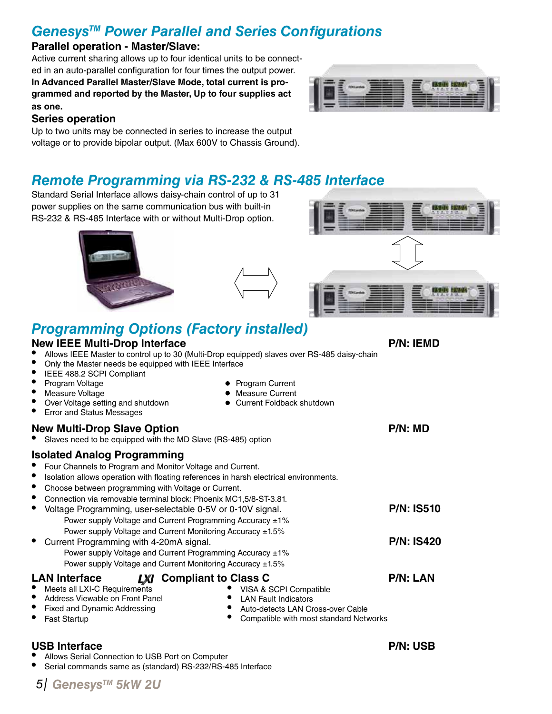### *GenesysTM Power Parallel and Series Configurations*

#### **Parallel operation - Master/Slave:**

Active current sharing allows up to four identical units to be connected in an auto-parallel configuration for four times the output power. **In Advanced Parallel Master/Slave Mode, total current is programmed and reported by the Master, Up to four supplies act as one.**



#### **Series operation**

Up to two units may be connected in series to increase the output voltage or to provide bipolar output. (Max 600V to Chassis Ground).

### *Remote Programming via RS-232 & RS-485 Interface*

Standard Serial Interface allows daisy-chain control of up to 31 power supplies on the same communication bus with built-in RS-232 & RS-485 Interface with or without Multi-Drop option.





## *Programming Options (Factory installed)*

#### **New IEEE Multi-Drop Interface P/N: IEMD**

- Allows IEEE Master to control up to 30 (Multi-Drop equipped) slaves over RS-485 daisy-chain
- Only the Master needs be equipped with IEEE Interface
- IEEE 488.2 SCPI Compliant
- 
- • Program Voltage Program Current Over Voltage setting and shutdown
- **Error and Status Messages**

### **New Multi-Drop Slave Option P/N:** MD

Slaves need to be equipped with the MD Slave (RS-485) option

### **Isolated Analog Programming**

- Four Channels to Program and Monitor Voltage and Current.
- Isolation allows operation with floating references in harsh electrical environments.
- Choose between programming with Voltage or Current.
- **LAN** Interface **LXI** Compliant to Class C **P/N:** LAN Meets all LXI-C Requirements Address Viewable on Front Panel Fixed and Dynamic Addressing • VISA & SCPI Compatible **LAN Fault Indicators** Connection via removable terminal block: Phoenix MC1,5/8-ST-3.81. Voltage Programming, user-selectable 0-5V or 0-10V signal. Power supply Voltage and Current Programming Accuracy ±1% Power supply Voltage and Current Monitoring Accuracy ±1.5% Current Programming with 4-20mA signal. Power supply Voltage and Current Programming Accuracy ±1% Power supply Voltage and Current Monitoring Accuracy ±1.5% **P/N: IS510 P/N: IS420**
	- Auto-detects LAN Cross-over Cable<br>• Compatible with most standard Netv

• Measure Current<br>• Current Foldback shutdown

Compatible with most standard Networks

### **USB Interface P/N: USB**

**Fast Startup** 

- Allows Serial Connection to USB Port on Computer
- Serial commands same as (standard) RS-232/RS-485 Interface